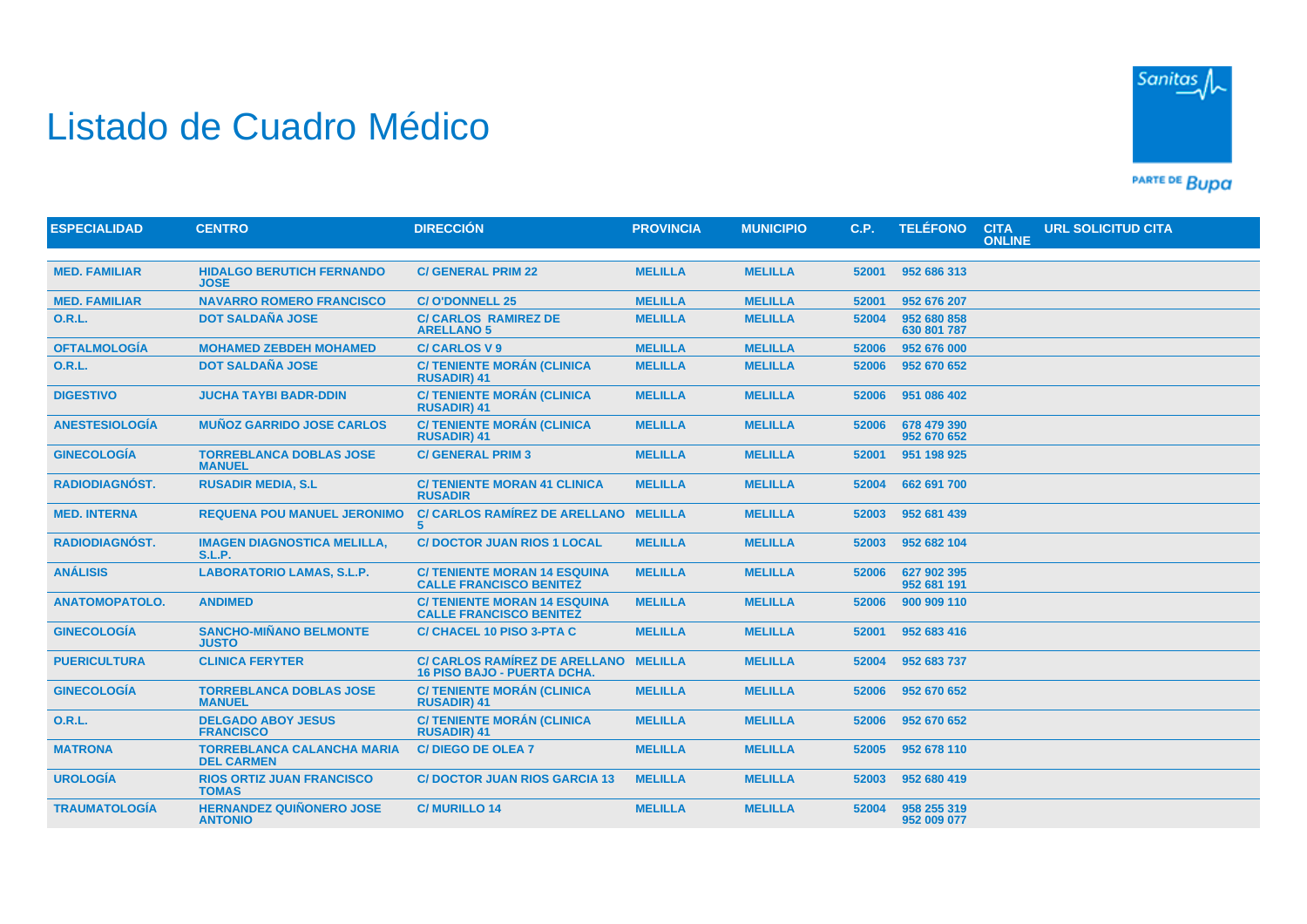## Listado de Cuadro Médico



PARTE DE BUDA

| <b>ESPECIALIDAD</b>   | <b>CENTRO</b>                                          | <b>DIRECCIÓN</b>                                                           | <b>PROVINCIA</b> | <b>MUNICIPIO</b> | C.P.  | <b>TELÉFONO</b>            | <b>CITA</b><br><b>ONLINE</b> | URL SOLICITUD CITA |
|-----------------------|--------------------------------------------------------|----------------------------------------------------------------------------|------------------|------------------|-------|----------------------------|------------------------------|--------------------|
|                       |                                                        |                                                                            |                  |                  |       |                            |                              |                    |
| <b>MED. FAMILIAR</b>  | <b>HIDALGO BERUTICH FERNANDO</b><br><b>JOSE</b>        | <b>C/ GENERAL PRIM 22</b>                                                  | <b>MELILLA</b>   | <b>MELILLA</b>   | 52001 | 952 686 313                |                              |                    |
| <b>MED. FAMILIAR</b>  | <b>NAVARRO ROMERO FRANCISCO</b>                        | <b>C/O'DONNELL 25</b>                                                      | <b>MELILLA</b>   | <b>MELILLA</b>   | 52001 | 952 676 207                |                              |                    |
| <b>O.R.L.</b>         | <b>DOT SALDAÑA JOSE</b>                                | <b>C/ CARLOS RAMIREZ DE</b><br><b>ARELLANO 5</b>                           | <b>MELILLA</b>   | <b>MELILLA</b>   | 52004 | 952 680 858<br>630 801 787 |                              |                    |
| <b>OFTALMOLOGÍA</b>   | <b>MOHAMED ZEBDEH MOHAMED</b>                          | <b>C/CARLOS V9</b>                                                         | <b>MELILLA</b>   | <b>MELILLA</b>   | 52006 | 952 676 000                |                              |                    |
| <b>O.R.L.</b>         | <b>DOT SALDAÑA JOSE</b>                                | <b>C/ TENIENTE MORÁN (CLINICA</b><br><b>RUSADIR) 41</b>                    | <b>MELILLA</b>   | <b>MELILLA</b>   | 52006 | 952 670 652                |                              |                    |
| <b>DIGESTIVO</b>      | <b>JUCHA TAYBI BADR-DDIN</b>                           | <b>C/ TENIENTE MORÁN (CLINICA</b><br><b>RUSADIR) 41</b>                    | <b>MELILLA</b>   | <b>MELILLA</b>   | 52006 | 951 086 402                |                              |                    |
| <b>ANESTESIOLOGÍA</b> | <b>MUÑOZ GARRIDO JOSE CARLOS</b>                       | <b>C/ TENIENTE MORÁN (CLINICA</b><br><b>RUSADIR) 41</b>                    | <b>MELILLA</b>   | <b>MELILLA</b>   | 52006 | 678 479 390<br>952 670 652 |                              |                    |
| <b>GINECOLOGÍA</b>    | <b>TORREBLANCA DOBLAS JOSE</b><br><b>MANUEL</b>        | <b>C/ GENERAL PRIM 3</b>                                                   | <b>MELILLA</b>   | <b>MELILLA</b>   | 52001 | 951 198 925                |                              |                    |
| <b>RADIODIAGNÓST.</b> | <b>RUSADIR MEDIA, S.L.</b>                             | <b>C/ TENIENTE MORAN 41 CLINICA</b><br><b>RUSADIR</b>                      | <b>MELILLA</b>   | <b>MELILLA</b>   | 52004 | 662 691 700                |                              |                    |
| <b>MED. INTERNA</b>   | <b>REQUENA POU MANUEL JERONIMO</b>                     | <b>C/ CARLOS RAMÍREZ DE ARELLANO</b><br>5                                  | <b>MELILLA</b>   | <b>MELILLA</b>   | 52003 | 952 681 439                |                              |                    |
| <b>RADIODIAGNÓST.</b> | <b>IMAGEN DIAGNOSTICA MELILLA,</b><br><b>S.L.P.</b>    | <b>C/ DOCTOR JUAN RIOS 1 LOCAL</b>                                         | <b>MELILLA</b>   | <b>MELILLA</b>   | 52003 | 952 682 104                |                              |                    |
| <b>ANÁLISIS</b>       | <b>LABORATORIO LAMAS, S.L.P.</b>                       | <b>C/ TENIENTE MORAN 14 ESQUINA</b><br><b>CALLE FRANCISCO BENITEZ</b>      | <b>MELILLA</b>   | <b>MELILLA</b>   | 52006 | 627 902 395<br>952 681 191 |                              |                    |
| <b>ANATOMOPATOLO.</b> | <b>ANDIMED</b>                                         | <b>C/ TENIENTE MORAN 14 ESQUINA</b><br><b>CALLE FRANCISCO BENITEZ</b>      | <b>MELILLA</b>   | <b>MELILLA</b>   | 52006 | 900 909 110                |                              |                    |
| <b>GINECOLOGÍA</b>    | <b>SANCHO-MIÑANO BELMONTE</b><br><b>JUSTO</b>          | <b>C/ CHACEL 10 PISO 3-PTA C</b>                                           | <b>MELILLA</b>   | <b>MELILLA</b>   | 52001 | 952 683 416                |                              |                    |
| <b>PUERICULTURA</b>   | <b>CLINICA FERYTER</b>                                 | <b>C/ CARLOS RAMÍREZ DE ARELLANO</b><br><b>16 PISO BAJO - PUERTA DCHA.</b> | <b>MELILLA</b>   | <b>MELILLA</b>   | 52004 | 952 683 737                |                              |                    |
| <b>GINECOLOGÍA</b>    | <b>TORREBLANCA DOBLAS JOSE</b><br><b>MANUEL</b>        | <b>C/ TENIENTE MORÁN (CLINICA</b><br><b>RUSADIR) 41</b>                    | <b>MELILLA</b>   | <b>MELILLA</b>   | 52006 | 952 670 652                |                              |                    |
| <b>O.R.L.</b>         | <b>DELGADO ABOY JESUS</b><br><b>FRANCISCO</b>          | <b>C/ TENIENTE MORÁN (CLINICA</b><br><b>RUSADIR) 41</b>                    | <b>MELILLA</b>   | <b>MELILLA</b>   | 52006 | 952 670 652                |                              |                    |
| <b>MATRONA</b>        | <b>TORREBLANCA CALANCHA MARIA</b><br><b>DEL CARMEN</b> | <b>C/DIEGO DE OLEA 7</b>                                                   | <b>MELILLA</b>   | <b>MELILLA</b>   | 52005 | 952 678 110                |                              |                    |
| <b>UROLOGÍA</b>       | <b>RIOS ORTIZ JUAN FRANCISCO</b><br><b>TOMAS</b>       | <b>C/DOCTOR JUAN RIOS GARCIA 13</b>                                        | <b>MELILLA</b>   | <b>MELILLA</b>   | 52003 | 952 680 419                |                              |                    |
| <b>TRAUMATOLOGÍA</b>  | <b>HERNANDEZ QUIÑONERO JOSE</b><br><b>ANTONIO</b>      | <b>C/MURILLO 14</b>                                                        | <b>MELILLA</b>   | <b>MELILLA</b>   | 52004 | 958 255 319<br>952 009 077 |                              |                    |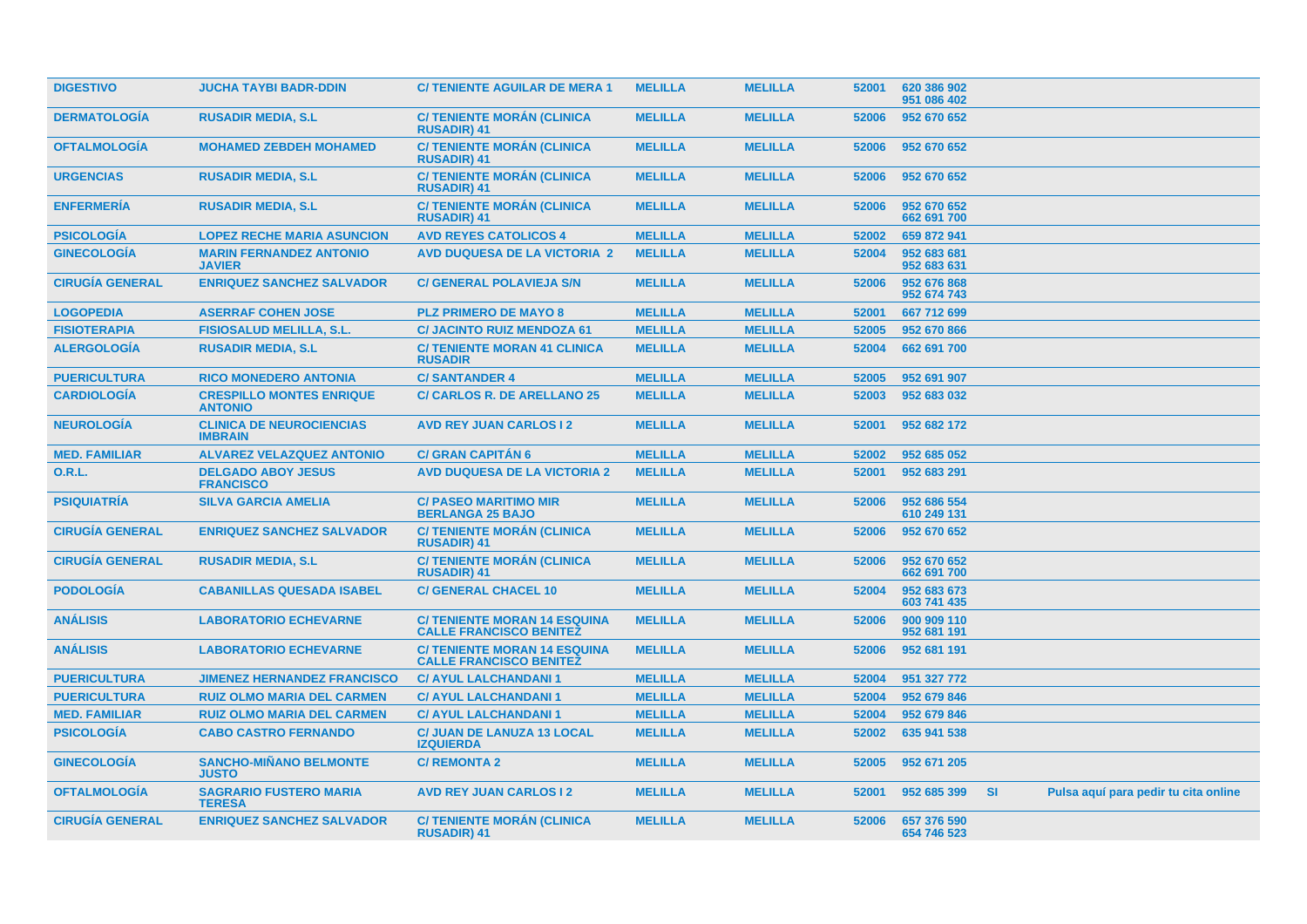| <b>DIGESTIVO</b>       | <b>JUCHA TAYBI BADR-DDIN</b>                      | <b>C/TENIENTE AGUILAR DE MERA 1</b>                                  | <b>MELILLA</b> | <b>MELILLA</b> | 52001 | 620 386 902<br>951 086 402 |           |                                      |
|------------------------|---------------------------------------------------|----------------------------------------------------------------------|----------------|----------------|-------|----------------------------|-----------|--------------------------------------|
| <b>DERMATOLOGÍA</b>    | <b>RUSADIR MEDIA, S.L.</b>                        | <b>C/ TENIENTE MORÁN (CLINICA</b><br><b>RUSADIR) 41</b>              | <b>MELILLA</b> | <b>MELILLA</b> | 52006 | 952 670 652                |           |                                      |
| <b>OFTALMOLOGIA</b>    | <b>MOHAMED ZEBDEH MOHAMED</b>                     | <b>C/ TENIENTE MORAN (CLINICA</b><br><b>RUSADIR) 41</b>              | <b>MELILLA</b> | <b>MELILLA</b> | 52006 | 952 670 652                |           |                                      |
| <b>URGENCIAS</b>       | <b>RUSADIR MEDIA, S.L.</b>                        | <b>C/TENIENTE MORÁN (CLINICA)</b><br><b>RUSADIR) 41</b>              | <b>MELILLA</b> | <b>MELILLA</b> | 52006 | 952 670 652                |           |                                      |
| <b>ENFERMERÍA</b>      | <b>RUSADIR MEDIA, S.L.</b>                        | <b>C/TENIENTE MORÁN (CLINICA)</b><br><b>RUSADIR) 41</b>              | <b>MELILLA</b> | <b>MELILLA</b> | 52006 | 952 670 652<br>662 691 700 |           |                                      |
| <b>PSICOLOGÍA</b>      | <b>LOPEZ RECHE MARIA ASUNCION</b>                 | <b>AVD REYES CATOLICOS 4</b>                                         | <b>MELILLA</b> | <b>MELILLA</b> | 52002 | 659 872 941                |           |                                      |
| <b>GINECOLOGÍA</b>     | <b>MARIN FERNANDEZ ANTONIO</b><br><b>JAVIER</b>   | <b>AVD DUQUESA DE LA VICTORIA 2</b>                                  | <b>MELILLA</b> | <b>MELILLA</b> | 52004 | 952 683 681<br>952 683 631 |           |                                      |
| <b>CIRUGÍA GENERAL</b> | <b>ENRIQUEZ SANCHEZ SALVADOR</b>                  | <b>C/ GENERAL POLAVIEJA S/N</b>                                      | <b>MELILLA</b> | <b>MELILLA</b> | 52006 | 952 676 868<br>952 674 743 |           |                                      |
| <b>LOGOPEDIA</b>       | <b>ASERRAF COHEN JOSE</b>                         | <b>PLZ PRIMERO DE MAYO 8</b>                                         | <b>MELILLA</b> | <b>MELILLA</b> | 52001 | 667 712 699                |           |                                      |
| <b>FISIOTERAPIA</b>    | <b>FISIOSALUD MELILLA, S.L.</b>                   | <b>C/ JACINTO RUIZ MENDOZA 61</b>                                    | <b>MELILLA</b> | <b>MELILLA</b> | 52005 | 952 670 866                |           |                                      |
| <b>ALERGOLOGÍA</b>     | <b>RUSADIR MEDIA, S.L.</b>                        | <b>C/TENIENTE MORAN 41 CLINICA</b><br><b>RUSADIR</b>                 | <b>MELILLA</b> | <b>MELILLA</b> | 52004 | 662 691 700                |           |                                      |
| <b>PUERICULTURA</b>    | <b>RICO MONEDERO ANTONIA</b>                      | <b>C/SANTANDER 4</b>                                                 | <b>MELILLA</b> | <b>MELILLA</b> | 52005 | 952 691 907                |           |                                      |
| <b>CARDIOLOGÍA</b>     | <b>CRESPILLO MONTES ENRIQUE</b><br><b>ANTONIO</b> | <b>C/ CARLOS R. DE ARELLANO 25</b>                                   | <b>MELILLA</b> | <b>MELILLA</b> | 52003 | 952 683 032                |           |                                      |
| <b>NEUROLOGIA</b>      | <b>CLINICA DE NEUROCIENCIAS</b><br><b>IMBRAIN</b> | <b>AVD REY JUAN CARLOS I 2</b>                                       | <b>MELILLA</b> | <b>MELILLA</b> | 52001 | 952 682 172                |           |                                      |
| <b>MED. FAMILIAR</b>   | <b>ALVAREZ VELAZQUEZ ANTONIO</b>                  | <b>C/ GRAN CAPITAN 6</b>                                             | <b>MELILLA</b> | <b>MELILLA</b> | 52002 | 952 685 052                |           |                                      |
| 0.R.L.                 | <b>DELGADO ABOY JESUS</b><br><b>FRANCISCO</b>     | <b>AVD DUQUESA DE LA VICTORIA 2</b>                                  | <b>MELILLA</b> | <b>MELILLA</b> | 52001 | 952 683 291                |           |                                      |
| <b>PSIQUIATRÍA</b>     | <b>SILVA GARCIA AMELIA</b>                        | <b>C/ PASEO MARITIMO MIR</b><br><b>BERLANGA 25 BAJO</b>              | <b>MELILLA</b> | <b>MELILLA</b> | 52006 | 952 686 554<br>610 249 131 |           |                                      |
| <b>CIRUGÍA GENERAL</b> | <b>ENRIQUEZ SANCHEZ SALVADOR</b>                  | <b>C/TENIENTE MORÁN (CLINICA)</b><br><b>RUSADIR) 41</b>              | <b>MELILLA</b> | <b>MELILLA</b> | 52006 | 952 670 652                |           |                                      |
| <b>CIRUGÍA GENERAL</b> | <b>RUSADIR MEDIA, S.L.</b>                        | <b>C/ TENIENTE MORÁN (CLINICA</b><br><b>RUSADIR) 41</b>              | <b>MELILLA</b> | <b>MELILLA</b> | 52006 | 952 670 652<br>662 691 700 |           |                                      |
| <b>PODOLOGIA</b>       | <b>CABANILLAS QUESADA ISABEL</b>                  | <b>C/ GENERAL CHACEL 10</b>                                          | <b>MELILLA</b> | <b>MELILLA</b> | 52004 | 952 683 673<br>603 741 435 |           |                                      |
| <b>ANÁLISIS</b>        | <b>LABORATORIO ECHEVARNE</b>                      | <b>C/TENIENTE MORAN 14 ESQUINA</b><br><b>CALLE FRANCISCO BENITEZ</b> | <b>MELILLA</b> | <b>MELILLA</b> | 52006 | 900 909 110<br>952 681 191 |           |                                      |
| <b>ANÁLISIS</b>        | <b>LABORATORIO ECHEVARNE</b>                      | <b>C/TENIENTE MORAN 14 ESQUINA</b><br><b>CALLE FRANCISCO BENITEZ</b> | <b>MELILLA</b> | <b>MELILLA</b> | 52006 | 952 681 191                |           |                                      |
| <b>PUERICULTURA</b>    | <b>JIMENEZ HERNANDEZ FRANCISCO</b>                | <b>C/ AYUL LALCHANDANI 1</b>                                         | <b>MELILLA</b> | <b>MELILLA</b> | 52004 | 951 327 772                |           |                                      |
| <b>PUERICULTURA</b>    | <b>RUIZ OLMO MARIA DEL CARMEN</b>                 | <b>C/ AYUL LALCHANDANI 1</b>                                         | <b>MELILLA</b> | <b>MELILLA</b> | 52004 | 952 679 846                |           |                                      |
| <b>MED. FAMILIAR</b>   | <b>RUIZ OLMO MARIA DEL CARMEN</b>                 | <b>C/ AYUL LALCHANDANI 1</b>                                         | <b>MELILLA</b> | <b>MELILLA</b> | 52004 | 952 679 846                |           |                                      |
| <b>PSICOLOGÍA</b>      | <b>CABO CASTRO FERNANDO</b>                       | <b>C/ JUAN DE LANUZA 13 LOCAL</b><br><b>IZQUIERDA</b>                | <b>MELILLA</b> | <b>MELILLA</b> | 52002 | 635 941 538                |           |                                      |
| <b>GINECOLOGÍA</b>     | <b>SANCHO-MIÑANO BELMONTE</b><br><b>JUSTO</b>     | <b>C/ REMONTA 2</b>                                                  | <b>MELILLA</b> | <b>MELILLA</b> | 52005 | 952 671 205                |           |                                      |
| <b>OFTALMOLOGIA</b>    | <b>SAGRARIO FUSTERO MARIA</b><br><b>TERESA</b>    | <b>AVD REY JUAN CARLOS I 2</b>                                       | <b>MELILLA</b> | <b>MELILLA</b> | 52001 | 952 685 399                | <b>SI</b> | Pulsa aquí para pedir tu cita online |
| <b>CIRUGÍA GENERAL</b> | <b>ENRIQUEZ SANCHEZ SALVADOR</b>                  | <b>C/ TENIENTE MORÁN (CLINICA</b><br><b>RUSADIR) 41</b>              | <b>MELILLA</b> | <b>MELILLA</b> | 52006 | 657 376 590<br>654 746 523 |           |                                      |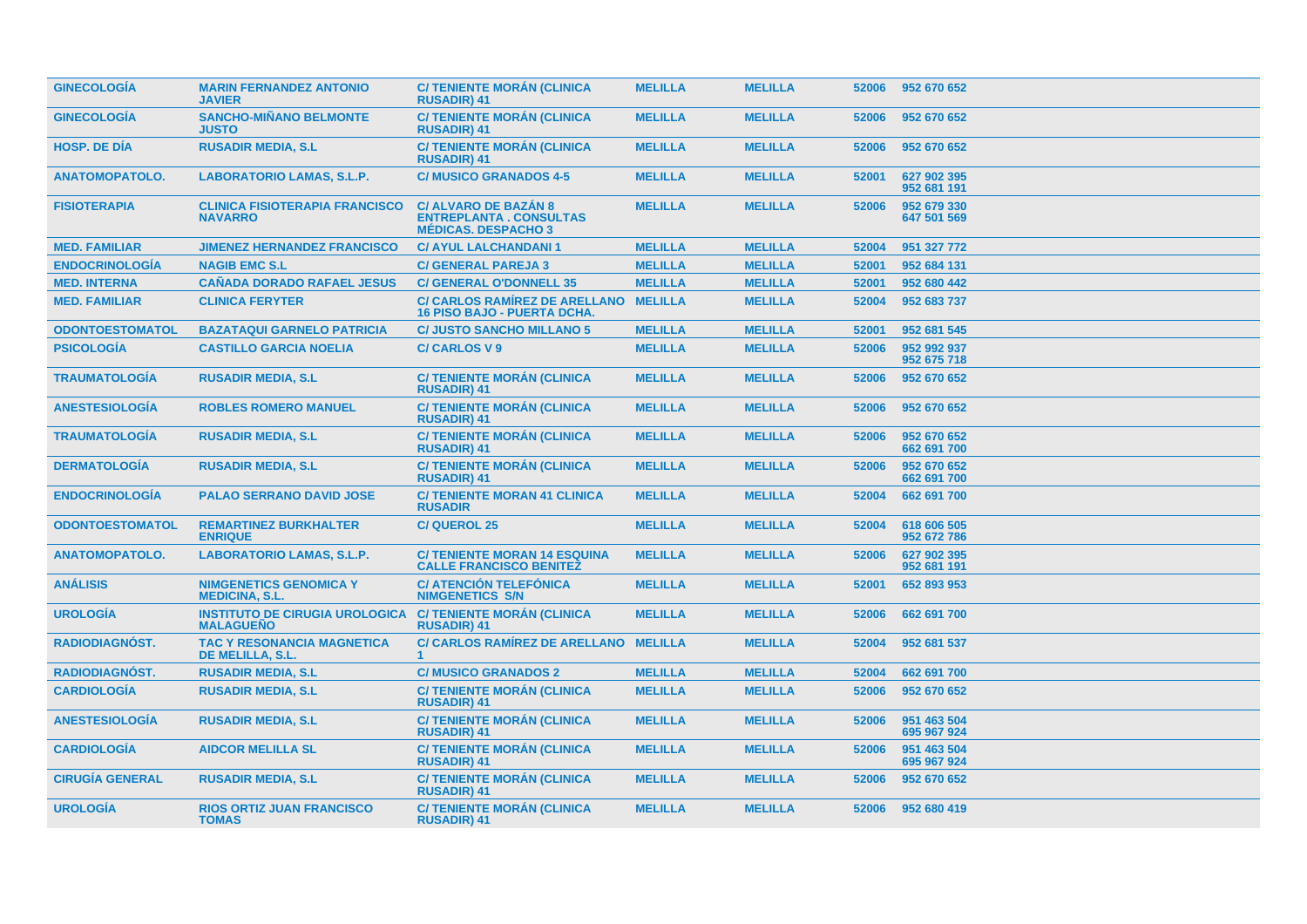| <b>GINECOLOGÍA</b>     | <b>MARIN FERNANDEZ ANTONIO</b><br><b>JAVIER</b>           | <b>C/TENIENTE MORAN (CLINICA</b><br><b>RUSADIR) 41</b>                                     | <b>MELILLA</b> | <b>MELILLA</b> | 52006 | 952 670 652                |
|------------------------|-----------------------------------------------------------|--------------------------------------------------------------------------------------------|----------------|----------------|-------|----------------------------|
| <b>GINECOLOGÍA</b>     | <b>SANCHO-MIÑANO BELMONTE</b><br><b>JUSTO</b>             | <b>C/ TENIENTE MORÁN (CLINICA</b><br><b>RUSADIR) 41</b>                                    | <b>MELILLA</b> | <b>MELILLA</b> | 52006 | 952 670 652                |
| <b>HOSP. DE DÍA</b>    | <b>RUSADIR MEDIA, S.L.</b>                                | <b>C/ TENIENTE MORÁN (CLINICA</b><br><b>RUSADIR) 41</b>                                    | <b>MELILLA</b> | <b>MELILLA</b> | 52006 | 952 670 652                |
| <b>ANATOMOPATOLO.</b>  | <b>LABORATORIO LAMAS, S.L.P.</b>                          | <b>C/MUSICO GRANADOS 4-5</b>                                                               | <b>MELILLA</b> | <b>MELILLA</b> | 52001 | 627 902 395<br>952 681 191 |
| <b>FISIOTERAPIA</b>    | <b>CLINICA FISIOTERAPIA FRANCISCO</b><br><b>NAVARRO</b>   | <b>C/ ALVARO DE BAZAN 8</b><br><b>ENTREPLANTA. CONSULTAS</b><br><b>MÉDICAS, DESPACHO 3</b> | <b>MELILLA</b> | <b>MELILLA</b> | 52006 | 952 679 330<br>647 501 569 |
| <b>MED. FAMILIAR</b>   | <b>JIMENEZ HERNANDEZ FRANCISCO</b>                        | <b>C/ AYUL LALCHANDANI 1</b>                                                               | <b>MELILLA</b> | <b>MELILLA</b> | 52004 | 951 327 772                |
| <b>ENDOCRINOLOGÍA</b>  | <b>NAGIB EMC S.L</b>                                      | <b>C/ GENERAL PAREJA 3</b>                                                                 | <b>MELILLA</b> | <b>MELILLA</b> | 52001 | 952 684 131                |
| <b>MED. INTERNA</b>    | <b>CAÑADA DORADO RAFAEL JESUS</b>                         | <b>C/ GENERAL O'DONNELL 35</b>                                                             | <b>MELILLA</b> | <b>MELILLA</b> | 52001 | 952 680 442                |
| <b>MED. FAMILIAR</b>   | <b>CLINICA FERYTER</b>                                    | <b>C/ CARLOS RAMÍREZ DE ARELLANO</b><br><b>16 PISO BAJO - PUERTA DCHA.</b>                 | <b>MELILLA</b> | <b>MELILLA</b> | 52004 | 952 683 737                |
| <b>ODONTOESTOMATOL</b> | <b>BAZATAQUI GARNELO PATRICIA</b>                         | <b>C/ JUSTO SANCHO MILLANO 5</b>                                                           | <b>MELILLA</b> | <b>MELILLA</b> | 52001 | 952 681 545                |
| <b>PSICOLOGÍA</b>      | <b>CASTILLO GARCIA NOELIA</b>                             | <b>C/CARLOS V9</b>                                                                         | <b>MELILLA</b> | <b>MELILLA</b> | 52006 | 952 992 937<br>952 675 718 |
| <b>TRAUMATOLOGÍA</b>   | <b>RUSADIR MEDIA, S.L.</b>                                | <b>C/ TENIENTE MORÁN (CLINICA)</b><br><b>RUSADIR) 41</b>                                   | <b>MELILLA</b> | <b>MELILLA</b> | 52006 | 952 670 652                |
| <b>ANESTESIOLOGÍA</b>  | <b>ROBLES ROMERO MANUEL</b>                               | <b>C/ TENIENTE MORÁN (CLINICA</b><br><b>RUSADIR) 41</b>                                    | <b>MELILLA</b> | <b>MELILLA</b> | 52006 | 952 670 652                |
| <b>TRAUMATOLOGIA</b>   | <b>RUSADIR MEDIA, S.L.</b>                                | <b>C/ TENIENTE MORÁN (CLINICA</b><br><b>RUSADIR) 41</b>                                    | <b>MELILLA</b> | <b>MELILLA</b> | 52006 | 952 670 652<br>662 691 700 |
| <b>DERMATOLOGÍA</b>    | <b>RUSADIR MEDIA, S.L.</b>                                | <b>C/ TENIENTE MORÁN (CLINICA</b><br><b>RUSADIR) 41</b>                                    | <b>MELILLA</b> | <b>MELILLA</b> | 52006 | 952 670 652<br>662 691 700 |
| <b>ENDOCRINOLOGÍA</b>  | <b>PALAO SERRANO DAVID JOSE</b>                           | <b>C/ TENIENTE MORAN 41 CLINICA</b><br><b>RUSADIR</b>                                      | <b>MELILLA</b> | <b>MELILLA</b> | 52004 | 662 691 700                |
| <b>ODONTOESTOMATOL</b> | <b>REMARTINEZ BURKHALTER</b><br><b>ENRIQUE</b>            | <b>C/QUEROL 25</b>                                                                         | <b>MELILLA</b> | <b>MELILLA</b> | 52004 | 618 606 505<br>952 672 786 |
| <b>ANATOMOPATOLO.</b>  | <b>LABORATORIO LAMAS, S.L.P.</b>                          | <b>C/ TENIENTE MORAN 14 ESQUINA</b><br><b>CALLE FRANCISCO BENITEZ</b>                      | <b>MELILLA</b> | <b>MELILLA</b> | 52006 | 627 902 395<br>952 681 191 |
| <b>ANÁLISIS</b>        | <b>NIMGENETICS GENOMICA Y</b><br><b>MEDICINA, S.L.</b>    | <b>C/ ATENCIÓN TELEFÓNICA</b><br><b>NIMGENETICS S/N</b>                                    | <b>MELILLA</b> | <b>MELILLA</b> | 52001 | 652 893 953                |
| <b>UROLOGÍA</b>        | <b>INSTITUTO DE CIRUGIA UROLOGICA</b><br><b>MALAGUEÑO</b> | <b>C/ TENIENTE MORÁN (CLINICA</b><br><b>RUSADIR) 41</b>                                    | <b>MELILLA</b> | <b>MELILLA</b> | 52006 | 662 691 700                |
| <b>RADIODIAGNÓST.</b>  | <b>TAC Y RESONANCIA MAGNETICA</b><br>DE MELILLA, S.L.     | <b>C/ CARLOS RAMÍREZ DE ARELLANO</b>                                                       | <b>MELILLA</b> | <b>MELILLA</b> | 52004 | 952 681 537                |
| <b>RADIODIAGNÓST.</b>  | <b>RUSADIR MEDIA, S.L.</b>                                | <b>C/MUSICO GRANADOS 2</b>                                                                 | <b>MELILLA</b> | <b>MELILLA</b> | 52004 | 662 691 700                |
| <b>CARDIOLOGÍA</b>     | <b>RUSADIR MEDIA, S.L.</b>                                | <b>C/ TENIENTE MORÁN (CLINICA</b><br><b>RUSADIR) 41</b>                                    | <b>MELILLA</b> | <b>MELILLA</b> | 52006 | 952 670 652                |
| <b>ANESTESIOLOGÍA</b>  | <b>RUSADIR MEDIA, S.L.</b>                                | <b>C/ TENIENTE MORÁN (CLINICA)</b><br><b>RUSADIR) 41</b>                                   | <b>MELILLA</b> | <b>MELILLA</b> | 52006 | 951 463 504<br>695 967 924 |
| <b>CARDIOLOGÍA</b>     | <b>AIDCOR MELILLA SL</b>                                  | <b>C/ TENIENTE MORÁN (CLINICA</b><br><b>RUSADIR) 41</b>                                    | <b>MELILLA</b> | <b>MELILLA</b> | 52006 | 951 463 504<br>695 967 924 |
| <b>CIRUGÍA GENERAL</b> | <b>RUSADIR MEDIA, S.L.</b>                                | <b>C/ TENIENTE MORÁN (CLINICA)</b><br><b>RUSADIR) 41</b>                                   | <b>MELILLA</b> | <b>MELILLA</b> | 52006 | 952 670 652                |
| <b>UROLOGÍA</b>        | <b>RIOS ORTIZ JUAN FRANCISCO</b><br><b>TOMAS</b>          | <b>C/ TENIENTE MORÁN (CLINICA</b><br><b>RUSADIR) 41</b>                                    | <b>MELILLA</b> | <b>MELILLA</b> | 52006 | 952 680 419                |